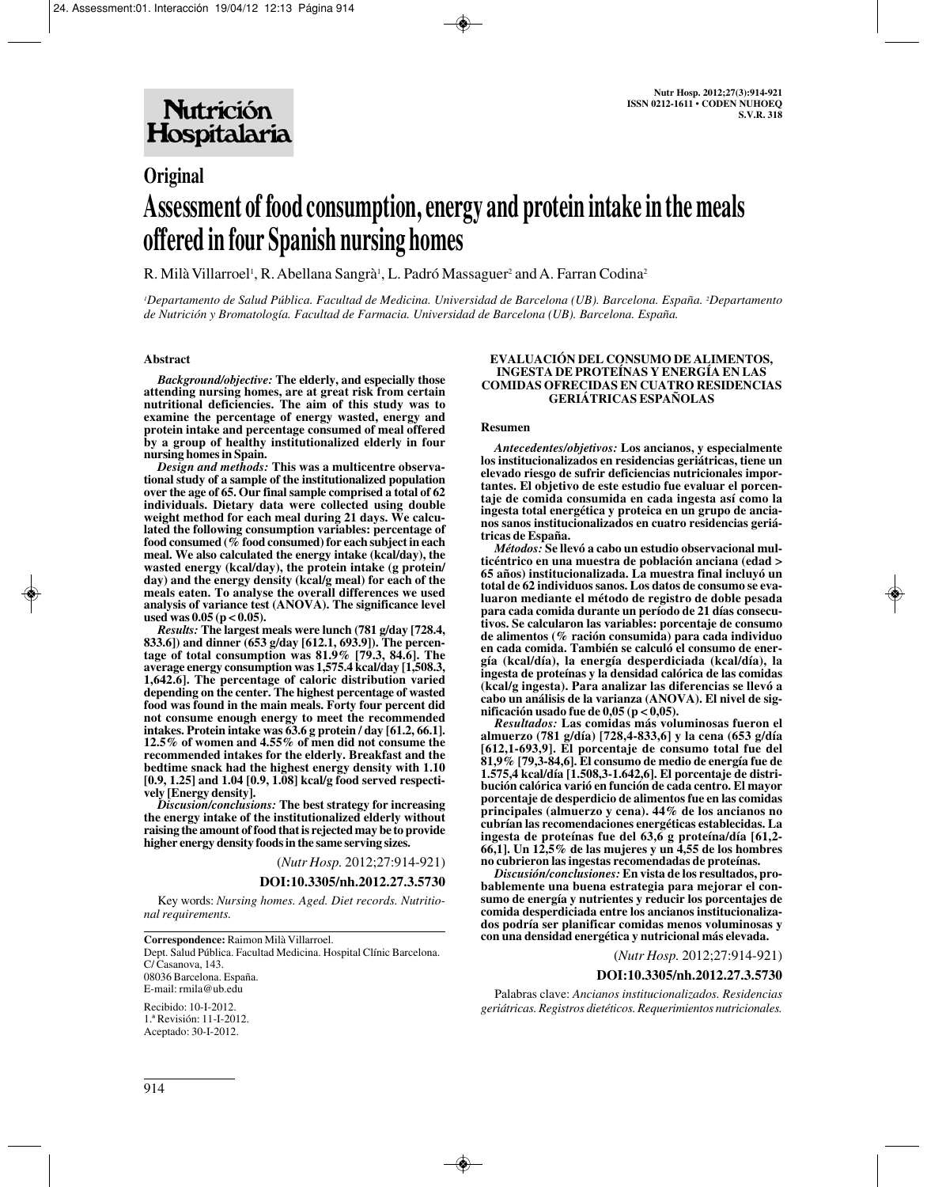# **Original Assessment of food consumption, energy and protein intake in the meals offered in four Spanish nursing homes**

R. Milà Villarroel', R. Abellana Sangrà', L. Padró Massaguer<sup>2</sup> and A. Farran Codina<sup>2</sup>

*1 Departamento de Salud Pública. Facultad de Medicina. Universidad de Barcelona (UB). Barcelona. España. 2 Departamento de Nutrición y Bromatología. Facultad de Farmacia. Universidad de Barcelona (UB). Barcelona. España.*

#### **Abstract**

*Background/objective:* **The elderly, and especially those attending nursing homes, are at great risk from certain nutritional deficiencies. The aim of this study was to examine the percentage of energy wasted, energy and protein intake and percentage consumed of meal offered by a group of healthy institutionalized elderly in four nursing homes in Spain.** 

*Design and methods:* **This was a multicentre observational study of a sample of the institutionalized population over the age of 65. Our final sample comprised a total of 62 individuals. Dietary data were collected using double weight method for each meal during 21 days. We calculated the following consumption variables: percentage of food consumed (% food consumed) for each subject in each meal. We also calculated the energy intake (kcal/day), the wasted energy (kcal/day), the protein intake (g protein/ day) and the energy density (kcal/g meal) for each of the meals eaten. To analyse the overall differences we used analysis of variance test (ANOVA). The significance level used was 0.05 (p < 0.05).** 

*Results:* **The largest meals were lunch (781 g/day [728.4, 833.6]) and dinner (653 g/day [612.1, 693.9]). The percentage of total consumption was 81.9% [79.3, 84.6]. The average energy consumption was 1,575.4 kcal/day [1,508.3, 1,642.6]. The percentage of caloric distribution varied depending on the center. The highest percentage of wasted food was found in the main meals. Forty four percent did not consume enough energy to meet the recommended intakes. Protein intake was 63.6 g protein / day [61.2, 66.1]. 12.5% of women and 4.55% of men did not consume the recommended intakes for the elderly. Breakfast and the bedtime snack had the highest energy density with 1.10 [0.9, 1.25] and 1.04 [0.9, 1.08] kcal/g food served respectively [Energy density].**

*Discusion/conclusions:* **The best strategy for increasing the energy intake of the institutionalized elderly without raising the amount of food that is rejected may be to provide higher energy density foods in the same serving sizes.** 

(*Nutr Hosp.* 2012;27:914-921)

#### **DOI:10.3305/nh.2012.27.3.5730**

Key words: *Nursing homes. Aged. Diet records. Nutritional requirements.*

Dept. Salud Pública. Facultad Medicina. Hospital Clínic Barcelona. C/ Casanova, 143. 08036 Barcelona. España.

E-mail: rmila@ub.edu Recibido: 10-I-2012.

1.ª Revisión: 11-I-2012. Aceptado: 30-I-2012.

#### **EVALUACIÓN DEL CONSUMO DE ALIMENTOS, INGESTA DE PROTEÍNAS Y ENERGÍA EN LAS COMIDAS OFRECIDAS EN CUATRO RESIDENCIAS GERIÁTRICAS ESPAÑOLAS**

#### **Resumen**

*Antecedentes/objetivos:* **Los ancianos, y especialmente los institucionalizados en residencias geriátricas, tiene un elevado riesgo de sufrir deficiencias nutricionales importantes. El objetivo de este estudio fue evaluar el porcentaje de comida consumida en cada ingesta así como la ingesta total energética y proteica en un grupo de ancianos sanos institucionalizados en cuatro residencias geriátricas de España.** 

*Métodos:* **Se llevó a cabo un estudio observacional multicéntrico en una muestra de población anciana (edad > 65 años) institucionalizada. La muestra final incluyó un total de 62 individuos sanos. Los datos de consumo se evaluaron mediante el método de registro de doble pesada para cada comida durante un período de 21 días consecutivos. Se calcularon las variables: porcentaje de consumo de alimentos (% ración consumida) para cada individuo en cada comida. También se calculó el consumo de energía (kcal/día), la energía desperdiciada (kcal/día), la ingesta de proteínas y la densidad calórica de las comidas (kcal/g ingesta). Para analizar las diferencias se llevó a cabo un análisis de la varianza (ANOVA). El nivel de significación usado fue de 0,05 (p < 0,05).** 

*Resultados:* **Las comidas más voluminosas fueron el almuerzo (781 g/día) [728,4-833,6] y la cena (653 g/día [612,1-693,9]. El porcentaje de consumo total fue del 81,9% [79,3-84,6]. El consumo de medio de energía fue de 1.575,4 kcal/día [1.508,3-1.642,6]. El porcentaje de distribución calórica varió en función de cada centro. El mayor porcentaje de desperdicio de alimentos fue en las comidas principales (almuerzo y cena). 44% de los ancianos no cubrían las recomendaciones energéticas establecidas. La ingesta de proteínas fue del 63,6 g proteína/día [61,2- 66,1]. Un 12,5% de las mujeres y un 4,55 de los hombres no cubrieron las ingestas recomendadas de proteínas.**

*Discusión/conclusiones:* **En vista de los resultados, probablemente una buena estrategia para mejorar el consumo de energía y nutrientes y reducir los porcentajes de comida desperdiciada entre los ancianos institucionalizados podría ser planificar comidas menos voluminosas y con una densidad energética y nutricional más elevada.** 

(*Nutr Hosp.* 2012;27:914-921)

#### **DOI:10.3305/nh.2012.27.3.5730**

Palabras clave: *Ancianos institucionalizados. Residencias geriátricas. Registros dietéticos. Requerimientos nutricionales.*

**Correspondence:** Raimon Milà Villarroel.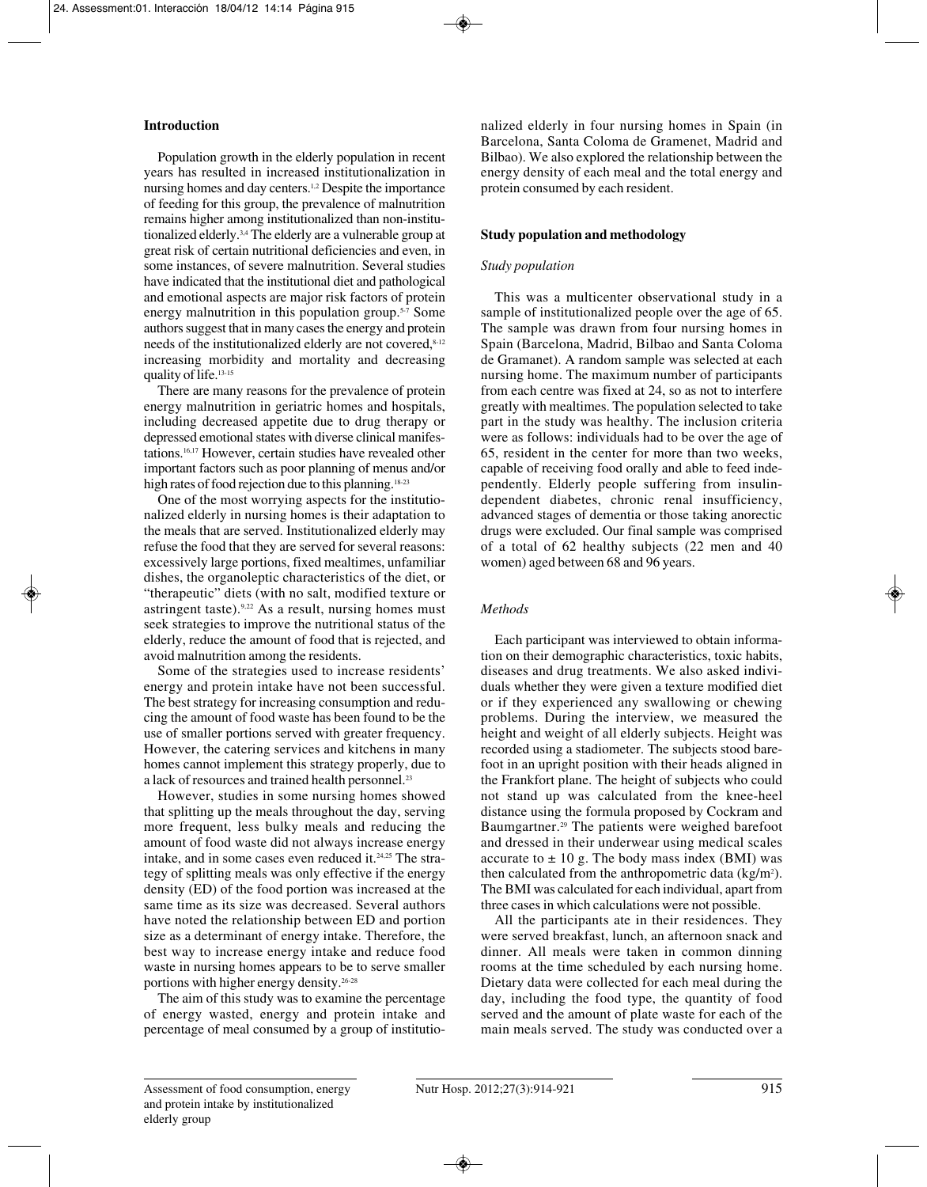# **Introduction**

Population growth in the elderly population in recent years has resulted in increased institutionalization in nursing homes and day centers.<sup>1,2</sup> Despite the importance of feeding for this group, the prevalence of malnutrition remains higher among institutionalized than non-institutionalized elderly.3,4 The elderly are a vulnerable group at great risk of certain nutritional deficiencies and even, in some instances, of severe malnutrition. Several studies have indicated that the institutional diet and pathological and emotional aspects are major risk factors of protein energy malnutrition in this population group.5-7 Some authors suggest that in many cases the energy and protein needs of the institutionalized elderly are not covered,  $8-12$ increasing morbidity and mortality and decreasing quality of life.13-15

There are many reasons for the prevalence of protein energy malnutrition in geriatric homes and hospitals, including decreased appetite due to drug therapy or depressed emotional states with diverse clinical manifestations.16,17 However, certain studies have revealed other important factors such as poor planning of menus and/or high rates of food rejection due to this planning.<sup>18-23</sup>

One of the most worrying aspects for the institutionalized elderly in nursing homes is their adaptation to the meals that are served. Institutionalized elderly may refuse the food that they are served for several reasons: excessively large portions, fixed mealtimes, unfamiliar dishes, the organoleptic characteristics of the diet, or "therapeutic" diets (with no salt, modified texture or astringent taste).  $9,22$  As a result, nursing homes must seek strategies to improve the nutritional status of the elderly, reduce the amount of food that is rejected, and avoid malnutrition among the residents.

Some of the strategies used to increase residents' energy and protein intake have not been successful. The best strategy for increasing consumption and reducing the amount of food waste has been found to be the use of smaller portions served with greater frequency. However, the catering services and kitchens in many homes cannot implement this strategy properly, due to a lack of resources and trained health personnel.23

However, studies in some nursing homes showed that splitting up the meals throughout the day, serving more frequent, less bulky meals and reducing the amount of food waste did not always increase energy intake, and in some cases even reduced it.24,25 The strategy of splitting meals was only effective if the energy density (ED) of the food portion was increased at the same time as its size was decreased. Several authors have noted the relationship between ED and portion size as a determinant of energy intake. Therefore, the best way to increase energy intake and reduce food waste in nursing homes appears to be to serve smaller portions with higher energy density.26-28

The aim of this study was to examine the percentage of energy wasted, energy and protein intake and percentage of meal consumed by a group of institutionalized elderly in four nursing homes in Spain (in Barcelona, Santa Coloma de Gramenet, Madrid and Bilbao). We also explored the relationship between the energy density of each meal and the total energy and protein consumed by each resident.

# **Study population and methodology**

## *Study population*

This was a multicenter observational study in a sample of institutionalized people over the age of 65. The sample was drawn from four nursing homes in Spain (Barcelona, Madrid, Bilbao and Santa Coloma de Gramanet). A random sample was selected at each nursing home. The maximum number of participants from each centre was fixed at 24, so as not to interfere greatly with mealtimes. The population selected to take part in the study was healthy. The inclusion criteria were as follows: individuals had to be over the age of 65, resident in the center for more than two weeks, capable of receiving food orally and able to feed independently. Elderly people suffering from insulindependent diabetes, chronic renal insufficiency, advanced stages of dementia or those taking anorectic drugs were excluded. Our final sample was comprised of a total of 62 healthy subjects (22 men and 40 women) aged between 68 and 96 years.

# *Methods*

Each participant was interviewed to obtain information on their demographic characteristics, toxic habits, diseases and drug treatments. We also asked individuals whether they were given a texture modified diet or if they experienced any swallowing or chewing problems. During the interview, we measured the height and weight of all elderly subjects. Height was recorded using a stadiometer. The subjects stood barefoot in an upright position with their heads aligned in the Frankfort plane. The height of subjects who could not stand up was calculated from the knee-heel distance using the formula proposed by Cockram and Baumgartner.29 The patients were weighed barefoot and dressed in their underwear using medical scales accurate to  $\pm$  10 g. The body mass index (BMI) was then calculated from the anthropometric data  $\frac{\text{kg}}{m^2}$ . The BMI was calculated for each individual, apart from three cases in which calculations were not possible.

All the participants ate in their residences. They were served breakfast, lunch, an afternoon snack and dinner. All meals were taken in common dinning rooms at the time scheduled by each nursing home. Dietary data were collected for each meal during the day, including the food type, the quantity of food served and the amount of plate waste for each of the main meals served. The study was conducted over a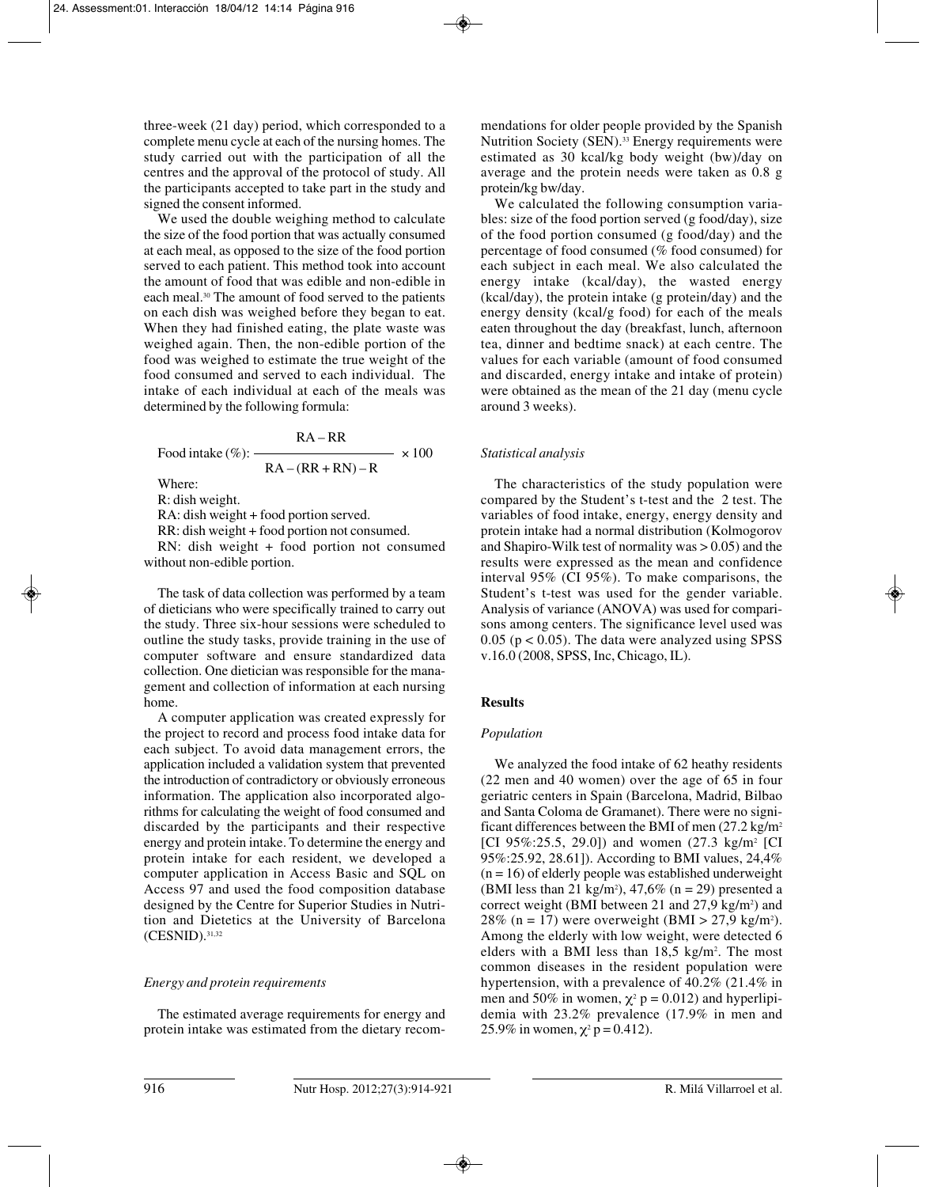three-week (21 day) period, which corresponded to a complete menu cycle at each of the nursing homes. The study carried out with the participation of all the centres and the approval of the protocol of study. All the participants accepted to take part in the study and signed the consent informed.

We used the double weighing method to calculate the size of the food portion that was actually consumed at each meal, as opposed to the size of the food portion served to each patient. This method took into account the amount of food that was edible and non-edible in each meal.30 The amount of food served to the patients on each dish was weighed before they began to eat. When they had finished eating, the plate waste was weighed again. Then, the non-edible portion of the food was weighed to estimate the true weight of the food consumed and served to each individual. The intake of each individual at each of the meals was determined by the following formula:

$$
RA - RR
$$
  
Food intake (%): 
$$
\frac{RA - RR}{RA - (RR + RN) - R} \times 100
$$

Where:

R: dish weight.

RA: dish weight + food portion served.

RR: dish weight + food portion not consumed.

RN: dish weight + food portion not consumed without non-edible portion.

The task of data collection was performed by a team of dieticians who were specifically trained to carry out the study. Three six-hour sessions were scheduled to outline the study tasks, provide training in the use of computer software and ensure standardized data collection. One dietician was responsible for the management and collection of information at each nursing home.

A computer application was created expressly for the project to record and process food intake data for each subject. To avoid data management errors, the application included a validation system that prevented the introduction of contradictory or obviously erroneous information. The application also incorporated algorithms for calculating the weight of food consumed and discarded by the participants and their respective energy and protein intake. To determine the energy and protein intake for each resident, we developed a computer application in Access Basic and SQL on Access 97 and used the food composition database designed by the Centre for Superior Studies in Nutrition and Dietetics at the University of Barcelona (CESNID).31,32

## *Energy and protein requirements*

The estimated average requirements for energy and protein intake was estimated from the dietary recommendations for older people provided by the Spanish Nutrition Society (SEN).<sup>33</sup> Energy requirements were estimated as 30 kcal/kg body weight (bw)/day on average and the protein needs were taken as 0.8 g protein/kg bw/day.

We calculated the following consumption variables: size of the food portion served (g food/day), size of the food portion consumed (g food/day) and the percentage of food consumed (% food consumed) for each subject in each meal. We also calculated the energy intake (kcal/day), the wasted energy (kcal/day), the protein intake (g protein/day) and the energy density (kcal/g food) for each of the meals eaten throughout the day (breakfast, lunch, afternoon tea, dinner and bedtime snack) at each centre. The values for each variable (amount of food consumed and discarded, energy intake and intake of protein) were obtained as the mean of the 21 day (menu cycle around 3 weeks).

## *Statistical analysis*

The characteristics of the study population were compared by the Student's t-test and the 2 test. The variables of food intake, energy, energy density and protein intake had a normal distribution (Kolmogorov and Shapiro-Wilk test of normality was  $> 0.05$ ) and the results were expressed as the mean and confidence interval 95% (CI 95%). To make comparisons, the Student's t-test was used for the gender variable. Analysis of variance (ANOVA) was used for comparisons among centers. The significance level used was 0.05 ( $p < 0.05$ ). The data were analyzed using SPSS v.16.0 (2008, SPSS, Inc, Chicago, IL).

## **Results**

## *Population*

We analyzed the food intake of 62 heathy residents (22 men and 40 women) over the age of 65 in four geriatric centers in Spain (Barcelona, Madrid, Bilbao and Santa Coloma de Gramanet). There were no significant differences between the BMI of men  $(27.2 \text{ kg/m}^2)$ [CI 95%:25.5, 29.0]) and women  $(27.3 \text{ kg/m}^2)$  [CI 95%:25.92, 28.61]). According to BMI values, 24,4%  $(n = 16)$  of elderly people was established underweight (BMI less than 21 kg/m<sup>2</sup>), 47,6% (n = 29) presented a correct weight (BMI between 21 and  $27.9 \text{ kg/m}^2$ ) and 28% (n = 17) were overweight (BMI > 27,9 kg/m<sup>2</sup>). Among the elderly with low weight, were detected 6 elders with a BMI less than  $18,5 \text{ kg/m}^2$ . The most common diseases in the resident population were hypertension, with a prevalence of 40.2% (21.4% in men and 50% in women,  $\chi^2$  p = 0.012) and hyperlipidemia with 23.2% prevalence (17.9% in men and 25.9% in women,  $\chi^2 p = 0.412$ ).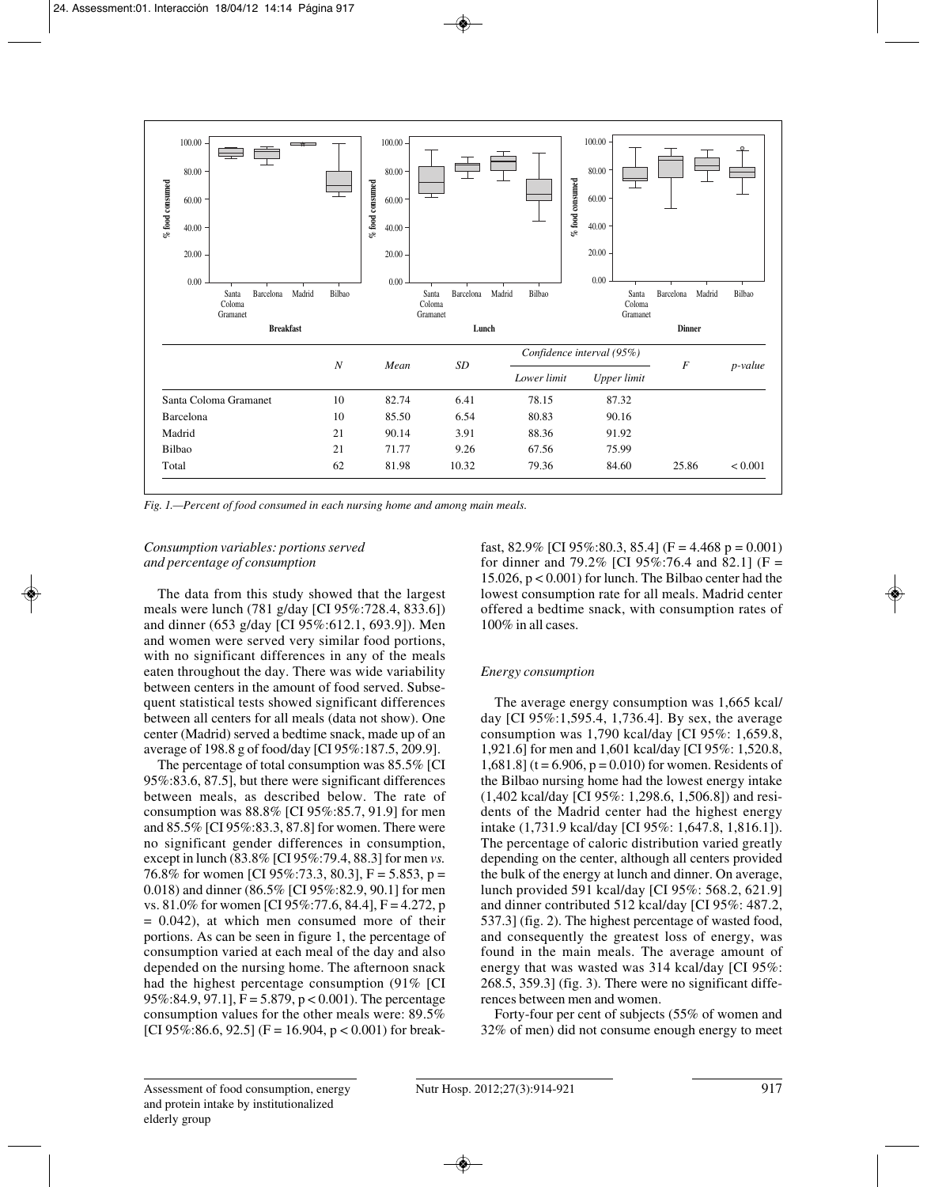

*Fig. 1.—Percent of food consumed in each nursing home and among main meals.*

# *Consumption variables: portions served and percentage of consumption*

The data from this study showed that the largest meals were lunch (781 g/day [CI 95%:728.4, 833.6]) and dinner (653 g/day [CI 95%:612.1, 693.9]). Men and women were served very similar food portions, with no significant differences in any of the meals eaten throughout the day. There was wide variability between centers in the amount of food served. Subsequent statistical tests showed significant differences between all centers for all meals (data not show). One center (Madrid) served a bedtime snack, made up of an average of 198.8 g of food/day [CI 95%:187.5, 209.9].

The percentage of total consumption was 85.5% [CI 95%:83.6, 87.5], but there were significant differences between meals, as described below. The rate of consumption was 88.8% [CI 95%:85.7, 91.9] for men and 85.5% [CI 95%:83.3, 87.8] for women. There were no significant gender differences in consumption, except in lunch (83.8% [CI 95%:79.4, 88.3] for men *vs.* 76.8% for women [CI 95%:73.3, 80.3], F = 5.853, p = 0.018) and dinner (86.5% [CI 95%:82.9, 90.1] for men vs. 81.0% for women [CI 95%:77.6, 84.4], F = 4.272, p  $= 0.042$ ), at which men consumed more of their portions. As can be seen in figure 1, the percentage of consumption varied at each meal of the day and also depended on the nursing home. The afternoon snack had the highest percentage consumption (91% [CI  $95\%$ :84.9, 97.1], F = 5.879, p < 0.001). The percentage consumption values for the other meals were: 89.5% [CI 95%:86.6, 92.5] (F = 16.904,  $p < 0.001$ ) for breakfast, 82.9% [CI 95%:80.3, 85.4] (F = 4.468 p = 0.001) for dinner and 79.2% [CI 95%:76.4 and 82.1] (F = 15.026, p < 0.001) for lunch. The Bilbao center had the lowest consumption rate for all meals. Madrid center offered a bedtime snack, with consumption rates of 100% in all cases.

# *Energy consumption*

The average energy consumption was 1,665 kcal/ day [CI 95%:1,595.4, 1,736.4]. By sex, the average consumption was 1,790 kcal/day [CI 95%: 1,659.8, 1,921.6] for men and 1,601 kcal/day [CI 95%: 1,520.8, 1,681.8] (t = 6.906, p = 0.010) for women. Residents of the Bilbao nursing home had the lowest energy intake (1,402 kcal/day [CI 95%: 1,298.6, 1,506.8]) and residents of the Madrid center had the highest energy intake (1,731.9 kcal/day [CI 95%: 1,647.8, 1,816.1]). The percentage of caloric distribution varied greatly depending on the center, although all centers provided the bulk of the energy at lunch and dinner. On average, lunch provided 591 kcal/day [CI 95%: 568.2, 621.9] and dinner contributed 512 kcal/day [CI 95%: 487.2, 537.3] (fig. 2). The highest percentage of wasted food, and consequently the greatest loss of energy, was found in the main meals. The average amount of energy that was wasted was 314 kcal/day [CI 95%: 268.5, 359.3] (fig. 3). There were no significant differences between men and women.

Forty-four per cent of subjects (55% of women and 32% of men) did not consume enough energy to meet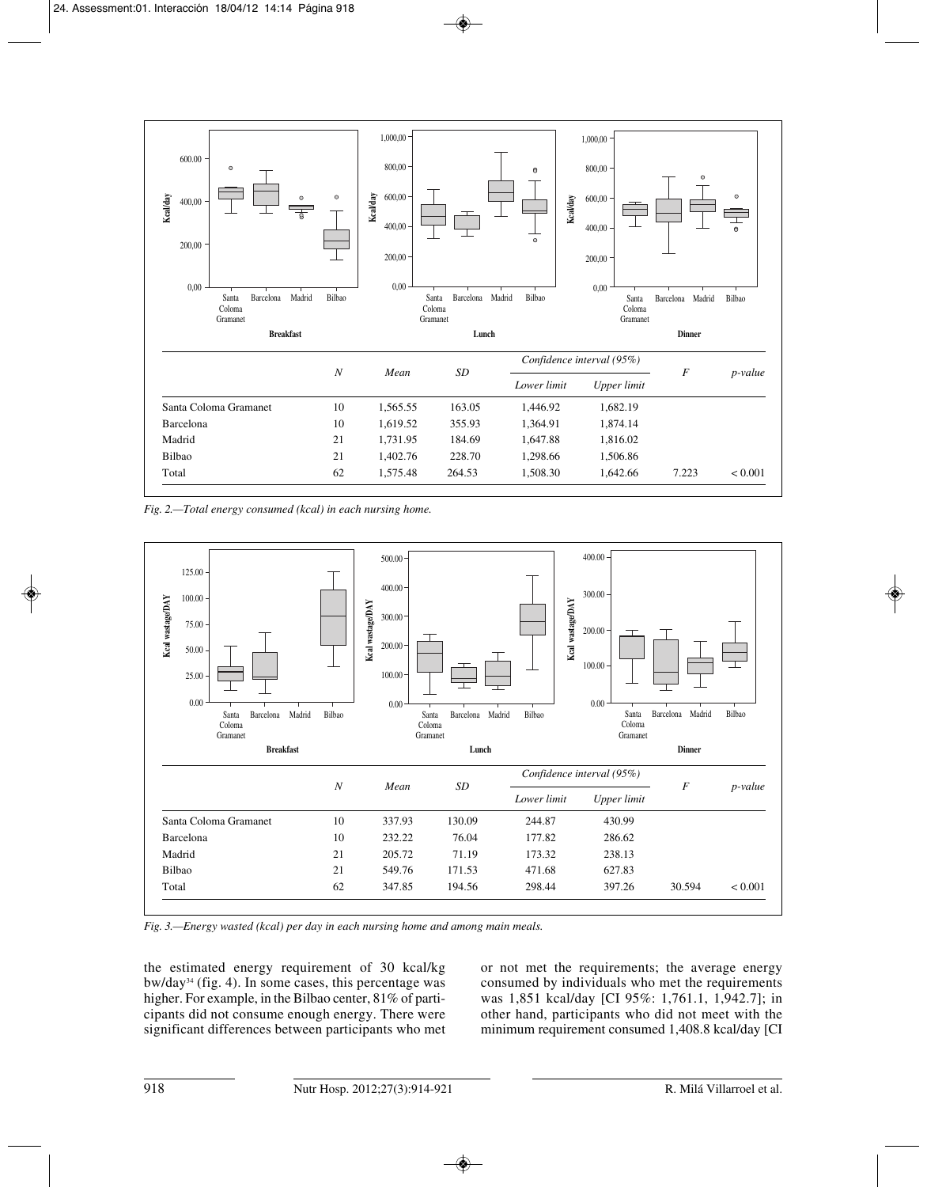

*Fig. 2.—Total energy consumed (kcal) in each nursing home.*



*Fig. 3.—Energy wasted (kcal) per day in each nursing home and among main meals.*

the estimated energy requirement of 30 kcal/kg bw/day34 (fig. 4). In some cases, this percentage was higher. For example, in the Bilbao center, 81% of participants did not consume enough energy. There were significant differences between participants who met or not met the requirements; the average energy consumed by individuals who met the requirements was 1,851 kcal/day [CI 95%: 1,761.1, 1,942.7]; in other hand, participants who did not meet with the minimum requirement consumed 1,408.8 kcal/day [CI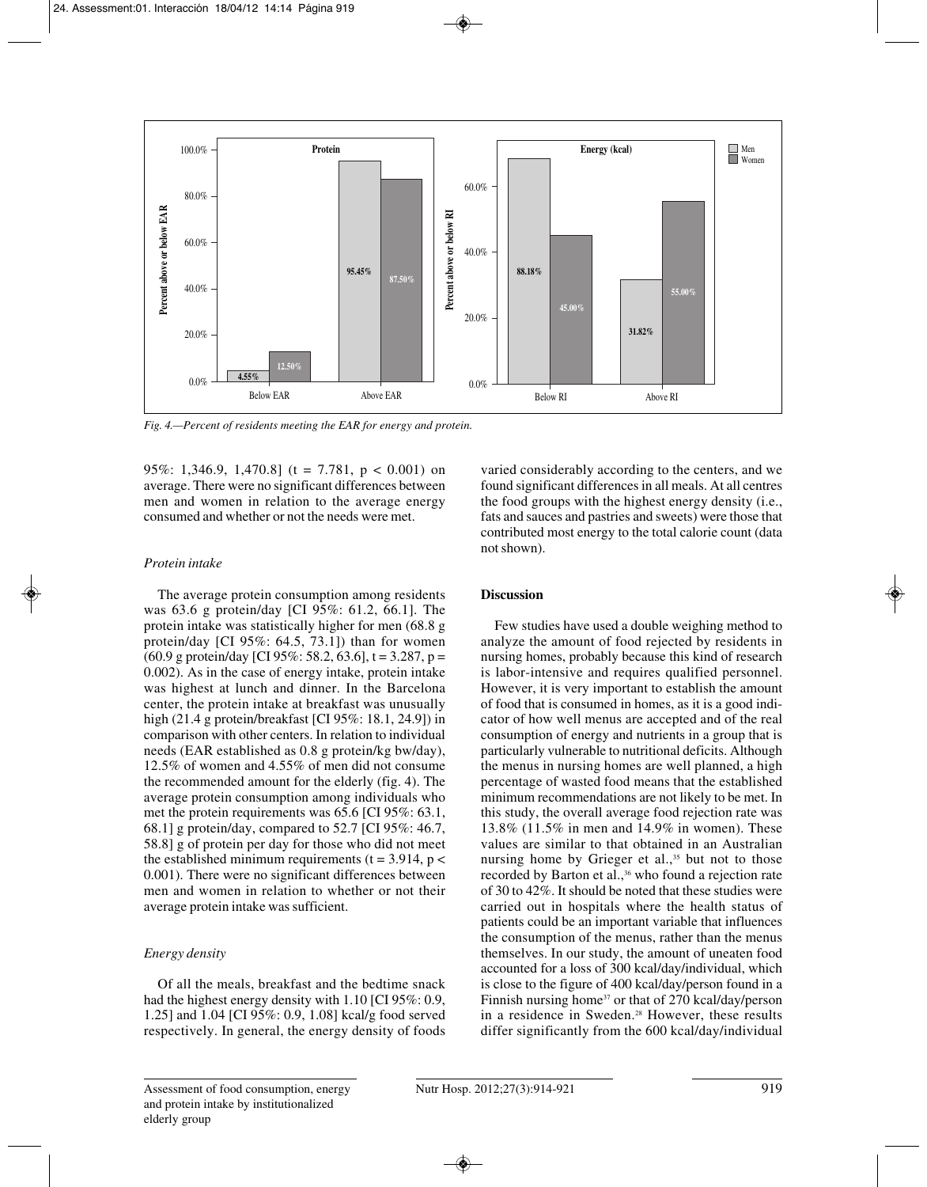

*Fig. 4.—Percent of residents meeting the EAR for energy and protein.*

95%: 1,346.9, 1,470.8] (t = 7.781,  $p < 0.001$ ) on average. There were no significant differences between men and women in relation to the average energy consumed and whether or not the needs were met.

#### *Protein intake*

The average protein consumption among residents was 63.6 g protein/day [CI 95%: 61.2, 66.1]. The protein intake was statistically higher for men (68.8 g protein/day [CI 95%: 64.5, 73.1]) than for women  $(60.9 \text{ g protein/day}$  [CI 95%: 58.2, 63.6], t = 3.287, p = 0.002). As in the case of energy intake, protein intake was highest at lunch and dinner. In the Barcelona center, the protein intake at breakfast was unusually high (21.4 g protein/breakfast [CI 95%: 18.1, 24.9]) in comparison with other centers. In relation to individual needs (EAR established as 0.8 g protein/kg bw/day), 12.5% of women and 4.55% of men did not consume the recommended amount for the elderly (fig. 4). The average protein consumption among individuals who met the protein requirements was 65.6 [CI 95%: 63.1, 68.1] g protein/day, compared to 52.7 [CI 95%: 46.7, 58.8] g of protein per day for those who did not meet the established minimum requirements ( $t = 3.914$ ,  $p <$ 0.001). There were no significant differences between men and women in relation to whether or not their average protein intake was sufficient.

## *Energy density*

Of all the meals, breakfast and the bedtime snack had the highest energy density with 1.10 [CI 95%: 0.9, 1.25] and 1.04 [CI 95%: 0.9, 1.08] kcal/g food served respectively. In general, the energy density of foods varied considerably according to the centers, and we found significant differences in all meals. At all centres the food groups with the highest energy density (i.e., fats and sauces and pastries and sweets) were those that contributed most energy to the total calorie count (data not shown).

## **Discussion**

Few studies have used a double weighing method to analyze the amount of food rejected by residents in nursing homes, probably because this kind of research is labor-intensive and requires qualified personnel. However, it is very important to establish the amount of food that is consumed in homes, as it is a good indicator of how well menus are accepted and of the real consumption of energy and nutrients in a group that is particularly vulnerable to nutritional deficits. Although the menus in nursing homes are well planned, a high percentage of wasted food means that the established minimum recommendations are not likely to be met. In this study, the overall average food rejection rate was 13.8% (11.5% in men and 14.9% in women). These values are similar to that obtained in an Australian nursing home by Grieger et al.,<sup>35</sup> but not to those recorded by Barton et al.,<sup>36</sup> who found a rejection rate of 30 to 42%. It should be noted that these studies were carried out in hospitals where the health status of patients could be an important variable that influences the consumption of the menus, rather than the menus themselves. In our study, the amount of uneaten food accounted for a loss of 300 kcal/day/individual, which is close to the figure of 400 kcal/day/person found in a Finnish nursing home<sup>37</sup> or that of 270 kcal/day/person in a residence in Sweden.<sup>28</sup> However, these results differ significantly from the 600 kcal/day/individual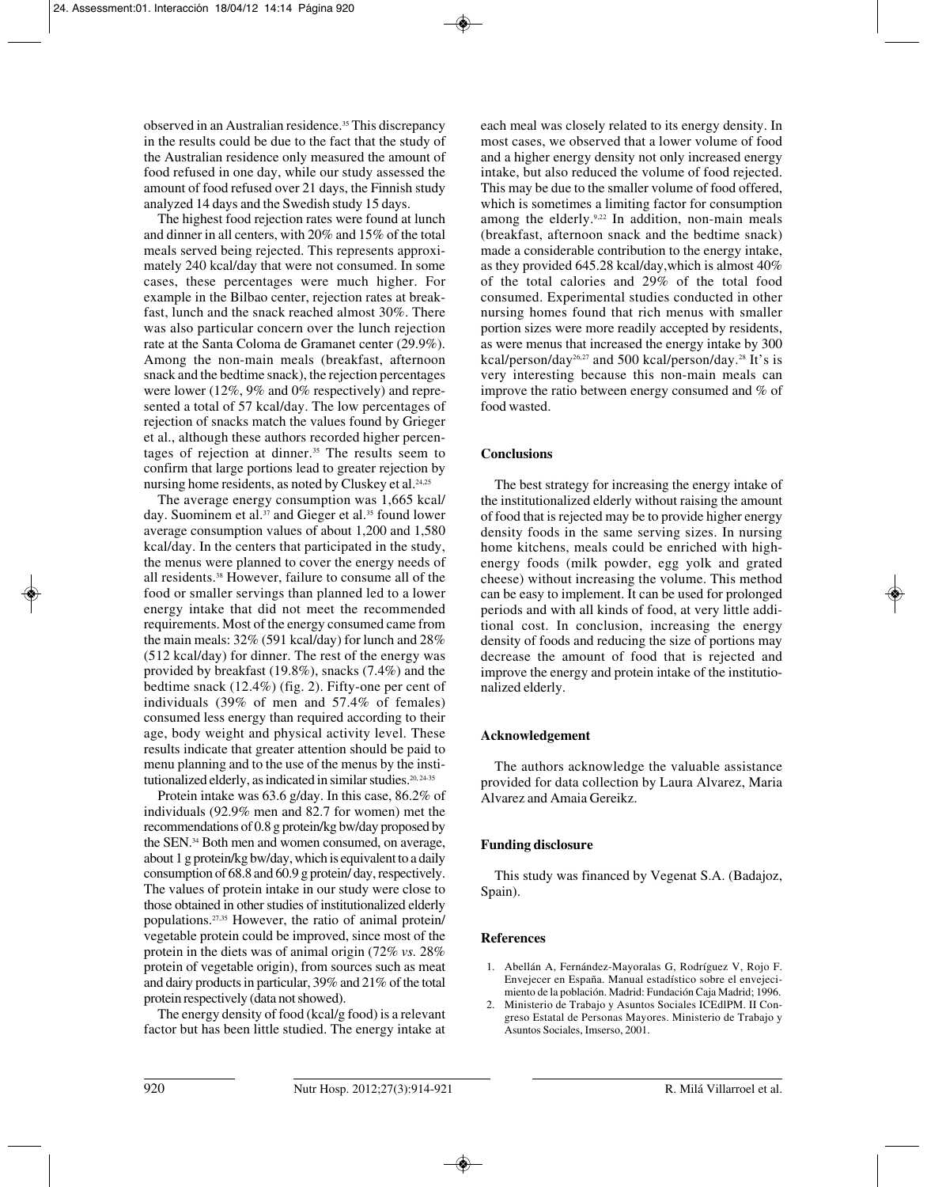observed in an Australian residence.35 This discrepancy in the results could be due to the fact that the study of the Australian residence only measured the amount of food refused in one day, while our study assessed the amount of food refused over 21 days, the Finnish study analyzed 14 days and the Swedish study 15 days.

The highest food rejection rates were found at lunch and dinner in all centers, with 20% and 15% of the total meals served being rejected. This represents approximately 240 kcal/day that were not consumed. In some cases, these percentages were much higher. For example in the Bilbao center, rejection rates at breakfast, lunch and the snack reached almost 30%. There was also particular concern over the lunch rejection rate at the Santa Coloma de Gramanet center (29.9%). Among the non-main meals (breakfast, afternoon snack and the bedtime snack), the rejection percentages were lower (12%, 9% and 0% respectively) and represented a total of 57 kcal/day. The low percentages of rejection of snacks match the values found by Grieger et al., although these authors recorded higher percentages of rejection at dinner.<sup>35</sup> The results seem to confirm that large portions lead to greater rejection by nursing home residents, as noted by Cluskey et al.<sup>24,25</sup>

The average energy consumption was 1,665 kcal/ day. Suominem et al.<sup>37</sup> and Gieger et al.<sup>35</sup> found lower average consumption values of about 1,200 and 1,580 kcal/day. In the centers that participated in the study, the menus were planned to cover the energy needs of all residents.38 However, failure to consume all of the food or smaller servings than planned led to a lower energy intake that did not meet the recommended requirements. Most of the energy consumed came from the main meals: 32% (591 kcal/day) for lunch and 28% (512 kcal/day) for dinner. The rest of the energy was provided by breakfast (19.8%), snacks (7.4%) and the bedtime snack (12.4%) (fig. 2). Fifty-one per cent of individuals (39% of men and 57.4% of females) consumed less energy than required according to their age, body weight and physical activity level. These results indicate that greater attention should be paid to menu planning and to the use of the menus by the institutionalized elderly, as indicated in similar studies.<sup>20, 24-35</sup>

Protein intake was 63.6 g/day. In this case, 86.2% of individuals (92.9% men and 82.7 for women) met the recommendations of 0.8 g protein/kg bw/day proposed by the SEN.34 Both men and women consumed, on average, about 1 g protein/kg bw/day, which is equivalent to a daily consumption of 68.8 and 60.9 g protein/ day, respectively. The values of protein intake in our study were close to those obtained in other studies of institutionalized elderly populations.27,35 However, the ratio of animal protein/ vegetable protein could be improved, since most of the protein in the diets was of animal origin (72% *vs.* 28% protein of vegetable origin), from sources such as meat and dairy products in particular, 39% and 21% of the total protein respectively (data not showed).

The energy density of food (kcal/g food) is a relevant factor but has been little studied. The energy intake at

each meal was closely related to its energy density. In most cases, we observed that a lower volume of food and a higher energy density not only increased energy intake, but also reduced the volume of food rejected. This may be due to the smaller volume of food offered, which is sometimes a limiting factor for consumption among the elderly.<sup>9,22</sup> In addition, non-main meals (breakfast, afternoon snack and the bedtime snack) made a considerable contribution to the energy intake, as they provided 645.28 kcal/day,which is almost 40% of the total calories and 29% of the total food consumed. Experimental studies conducted in other nursing homes found that rich menus with smaller portion sizes were more readily accepted by residents, as were menus that increased the energy intake by 300 kcal/person/day26,27 and 500 kcal/person/day.28 It's is very interesting because this non-main meals can improve the ratio between energy consumed and % of food wasted.

# **Conclusions**

The best strategy for increasing the energy intake of the institutionalized elderly without raising the amount of food that is rejected may be to provide higher energy density foods in the same serving sizes. In nursing home kitchens, meals could be enriched with highenergy foods (milk powder, egg yolk and grated cheese) without increasing the volume. This method can be easy to implement. It can be used for prolonged periods and with all kinds of food, at very little additional cost. In conclusion, increasing the energy density of foods and reducing the size of portions may decrease the amount of food that is rejected and improve the energy and protein intake of the institutionalized elderly.

## **Acknowledgement**

The authors acknowledge the valuable assistance provided for data collection by Laura Alvarez, Maria Alvarez and Amaia Gereikz.

# **Funding disclosure**

This study was financed by Vegenat S.A. (Badajoz, Spain).

#### **References**

- 1. Abellán A, Fernández-Mayoralas G, Rodríguez V, Rojo F. Envejecer en España. Manual estadístico sobre el envejecimiento de la población. Madrid: Fundación Caja Madrid; 1996.
- 2. Ministerio de Trabajo y Asuntos Sociales ICEdlPM. II Congreso Estatal de Personas Mayores. Ministerio de Trabajo y Asuntos Sociales, Imserso, 2001.